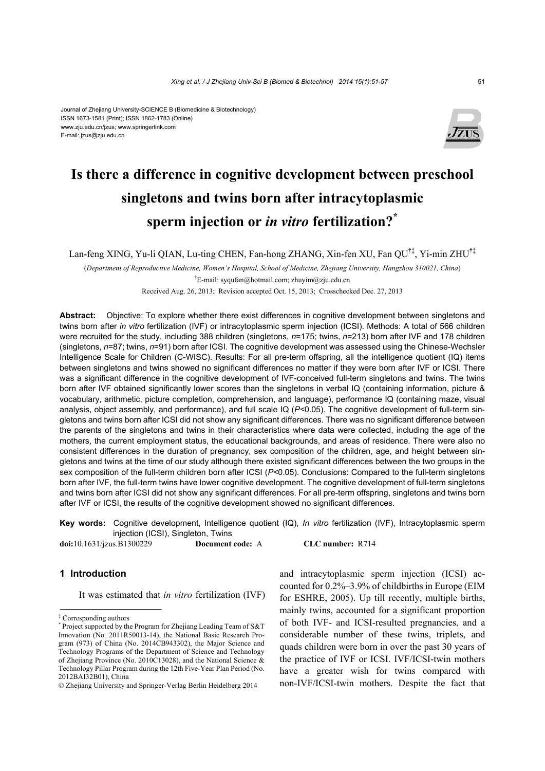#### Journal of Zhejiang University-SCIENCE B (Biomedicine & Biotechnology) ISSN 1673-1581 (Print); ISSN 1862-1783 (Online) www.zju.edu.cn/jzus; www.springerlink.com E-mail: jzus@zju.edu.cn



# **Is there a difference in cognitive development between preschool singletons and twins born after intracytoplasmic sperm injection or** *in vitro* **fertilization?\***

Lan-feng XING, Yu-li QIAN, Lu-ting CHEN, Fan-hong ZHANG, Xin-fen XU, Fan QU†‡, Yi-min ZHU†‡

(*Department of Reproductive Medicine, Women's Hospital, School of Medicine, Zhejiang University, Hangzhou 310021, China*) † E-mail: syqufan@hotmail.com; zhuyim@zju.edu.cn

Received Aug. 26, 2013; Revision accepted Oct. 15, 2013; Crosschecked Dec. 27, 2013

**Abstract:** Objective: To explore whether there exist differences in cognitive development between singletons and twins born after *in vitro* fertilization (IVF) or intracytoplasmic sperm injection (ICSI). Methods: A total of 566 children were recruited for the study, including 388 children (singletons, *n*=175; twins, *n*=213) born after IVF and 178 children (singletons, *n*=87; twins, *n*=91) born after ICSI. The cognitive development was assessed using the Chinese-Wechsler Intelligence Scale for Children (C-WISC). Results: For all pre-term offspring, all the intelligence quotient (IQ) items between singletons and twins showed no significant differences no matter if they were born after IVF or ICSI. There was a significant difference in the cognitive development of IVF-conceived full-term singletons and twins. The twins born after IVF obtained significantly lower scores than the singletons in verbal IQ (containing information, picture & vocabulary, arithmetic, picture completion, comprehension, and language), performance IQ (containing maze, visual analysis, object assembly, and performance), and full scale IQ (*P<*0.05). The cognitive development of full-term singletons and twins born after ICSI did not show any significant differences. There was no significant difference between the parents of the singletons and twins in their characteristics where data were collected, including the age of the mothers, the current employment status, the educational backgrounds, and areas of residence. There were also no consistent differences in the duration of pregnancy, sex composition of the children, age, and height between singletons and twins at the time of our study although there existed significant differences between the two groups in the sex composition of the full-term children born after ICSI (*P<*0.05). Conclusions: Compared to the full-term singletons born after IVF, the full-term twins have lower cognitive development. The cognitive development of full-term singletons and twins born after ICSI did not show any significant differences. For all pre-term offspring, singletons and twins born after IVF or ICSI, the results of the cognitive development showed no significant differences.

**Key words:** Cognitive development, Intelligence quotient (IQ), *In vitro* fertilization (IVF), Intracytoplasmic sperm injection (ICSI), Singleton, Twins

**doi:**10.1631/jzus.B1300229 **Document code:** A **CLC number:** R714

## **1 Introduction**

It was estimated that *in vitro* fertilization (IVF)

and intracytoplasmic sperm injection (ICSI) accounted for 0.2%–3.9% of childbirths in Europe (EIM for ESHRE, 2005). Up till recently, multiple births, mainly twins, accounted for a significant proportion of both IVF- and ICSI-resulted pregnancies, and a considerable number of these twins, triplets, and quads children were born in over the past 30 years of the practice of IVF or ICSI. IVF/ICSI-twin mothers have a greater wish for twins compared with non-IVF/ICSI-twin mothers. Despite the fact that

<sup>‡</sup> Corresponding authors

<sup>\*</sup> Project supported by the Program for Zhejiang Leading Team of S&T Innovation (No. 2011R50013-14), the National Basic Research Program (973) of China (No. 2014CB943302), the Major Science and Technology Programs of the Department of Science and Technology of Zhejiang Province (No. 2010C13028), and the National Science & Technology Pillar Program during the 12th Five-Year Plan Period (No. 2012BAI32B01), China

<sup>©</sup> Zhejiang University and Springer-Verlag Berlin Heidelberg 2014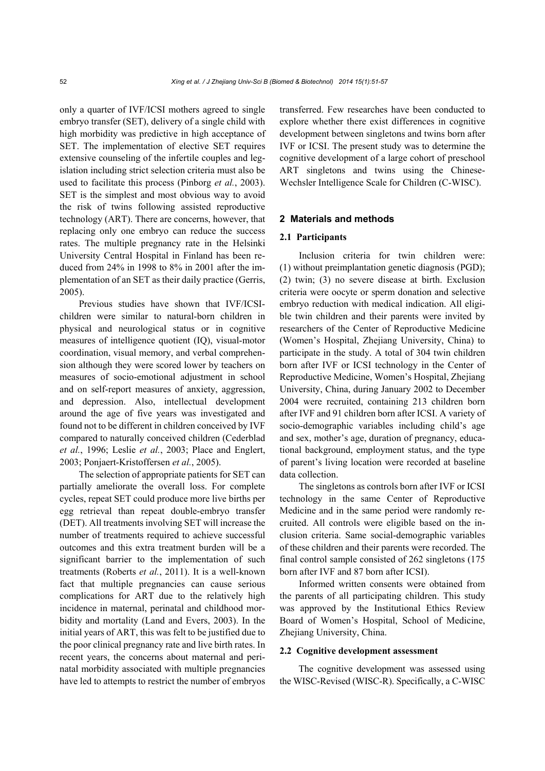only a quarter of IVF/ICSI mothers agreed to single embryo transfer (SET), delivery of a single child with high morbidity was predictive in high acceptance of SET. The implementation of elective SET requires extensive counseling of the infertile couples and legislation including strict selection criteria must also be used to facilitate this process (Pinborg *et al.*, 2003). SET is the simplest and most obvious way to avoid the risk of twins following assisted reproductive technology (ART). There are concerns, however, that replacing only one embryo can reduce the success rates. The multiple pregnancy rate in the Helsinki University Central Hospital in Finland has been reduced from 24% in 1998 to 8% in 2001 after the implementation of an SET as their daily practice (Gerris, 2005).

Previous studies have shown that IVF/ICSIchildren were similar to natural-born children in physical and neurological status or in cognitive measures of intelligence quotient (IQ), visual-motor coordination, visual memory, and verbal comprehension although they were scored lower by teachers on measures of socio-emotional adjustment in school and on self-report measures of anxiety, aggression, and depression. Also, intellectual development around the age of five years was investigated and found not to be different in children conceived by IVF compared to naturally conceived children (Cederblad *et al.*, 1996; Leslie *et al.*, 2003; Place and Englert, 2003; Ponjaert-Kristoffersen *et al.*, 2005).

The selection of appropriate patients for SET can partially ameliorate the overall loss. For complete cycles, repeat SET could produce more live births per egg retrieval than repeat double-embryo transfer (DET). All treatments involving SET will increase the number of treatments required to achieve successful outcomes and this extra treatment burden will be a significant barrier to the implementation of such treatments (Roberts *et al.*, 2011). It is a well-known fact that multiple pregnancies can cause serious complications for ART due to the relatively high incidence in maternal, perinatal and childhood morbidity and mortality (Land and Evers, 2003). In the initial years of ART, this was felt to be justified due to the poor clinical pregnancy rate and live birth rates. In recent years, the concerns about maternal and perinatal morbidity associated with multiple pregnancies have led to attempts to restrict the number of embryos transferred. Few researches have been conducted to explore whether there exist differences in cognitive development between singletons and twins born after IVF or ICSI. The present study was to determine the cognitive development of a large cohort of preschool ART singletons and twins using the Chinese-Wechsler Intelligence Scale for Children (C-WISC).

#### **2 Materials and methods**

### **2.1 Participants**

Inclusion criteria for twin children were: (1) without preimplantation genetic diagnosis (PGD); (2) twin; (3) no severe disease at birth. Exclusion criteria were oocyte or sperm donation and selective embryo reduction with medical indication. All eligible twin children and their parents were invited by researchers of the Center of Reproductive Medicine (Women's Hospital, Zhejiang University, China) to participate in the study. A total of 304 twin children born after IVF or ICSI technology in the Center of Reproductive Medicine, Women's Hospital, Zhejiang University, China, during January 2002 to December 2004 were recruited, containing 213 children born after IVF and 91 children born after ICSI. A variety of socio-demographic variables including child's age and sex, mother's age, duration of pregnancy, educational background, employment status, and the type of parent's living location were recorded at baseline data collection.

The singletons as controls born after IVF or ICSI technology in the same Center of Reproductive Medicine and in the same period were randomly recruited. All controls were eligible based on the inclusion criteria. Same social-demographic variables of these children and their parents were recorded. The final control sample consisted of 262 singletons (175 born after IVF and 87 born after ICSI).

Informed written consents were obtained from the parents of all participating children. This study was approved by the Institutional Ethics Review Board of Women's Hospital, School of Medicine, Zhejiang University, China.

#### **2.2 Cognitive development assessment**

The cognitive development was assessed using the WISC-Revised (WISC-R). Specifically, a C-WISC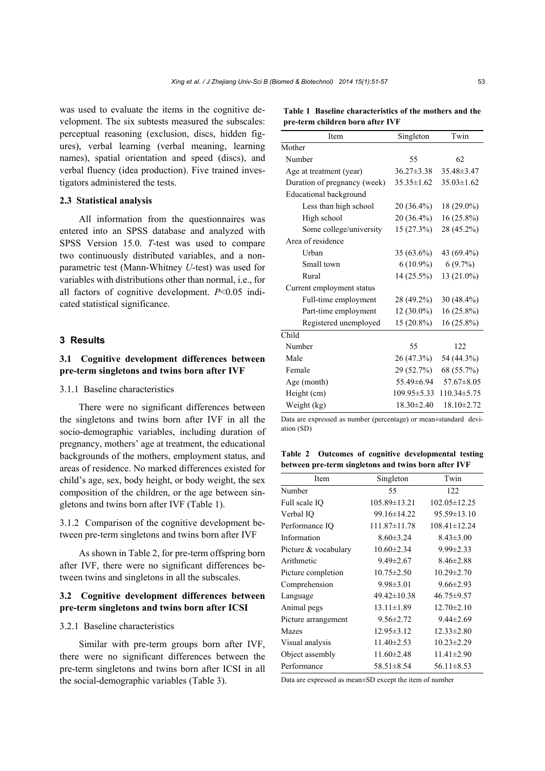was used to evaluate the items in the cognitive development. The six subtests measured the subscales: perceptual reasoning (exclusion, discs, hidden figures), verbal learning (verbal meaning, learning names), spatial orientation and speed (discs), and verbal fluency (idea production). Five trained investigators administered the tests.

#### **2.3 Statistical analysis**

All information from the questionnaires was entered into an SPSS database and analyzed with SPSS Version 15.0. *T*-test was used to compare two continuously distributed variables, and a nonparametric test (Mann-Whitney *U*-test) was used for variables with distributions other than normal, i.e., for all factors of cognitive development. *P*<0.05 indicated statistical significance.

#### **3 Results**

# **3.1 Cognitive development differences between pre-term singletons and twins born after IVF**

## 3.1.1 Baseline characteristics

There were no significant differences between the singletons and twins born after IVF in all the socio-demographic variables, including duration of pregnancy, mothers' age at treatment, the educational backgrounds of the mothers, employment status, and areas of residence. No marked differences existed for child's age, sex, body height, or body weight, the sex composition of the children, or the age between singletons and twins born after IVF (Table 1).

3.1.2 Comparison of the cognitive development between pre-term singletons and twins born after IVF

As shown in Table 2, for pre-term offspring born after IVF, there were no significant differences between twins and singletons in all the subscales.

# **3.2 Cognitive development differences between pre-term singletons and twins born after ICSI**

### 3.2.1 Baseline characteristics

Similar with pre-term groups born after IVF, there were no significant differences between the pre-term singletons and twins born after ICSI in all the social-demographic variables (Table 3).

**Table 1 Baseline characteristics of the mothers and the pre-term children born after IVF** 

| Item                          | Singleton         | Twin              |
|-------------------------------|-------------------|-------------------|
| Mother                        |                   |                   |
| Number                        | 55                | 62                |
| Age at treatment (year)       | $36.27 \pm 3.38$  | 35.48±3.47        |
| Duration of pregnancy (week)  | $35.35 \pm 1.62$  | $35.03 \pm 1.62$  |
| <b>Educational background</b> |                   |                   |
| Less than high school         | 20 (36.4%)        | 18 (29.0%)        |
| High school                   | 20 (36.4%)        | $16(25.8\%)$      |
| Some college/university       | 15 (27.3%)        | 28 (45.2%)        |
| Area of residence             |                   |                   |
| Urban                         | 35 (63.6%)        | 43 (69.4%)        |
| Small town                    | $6(10.9\%)$       | 6(9.7%)           |
| Rural                         | 14 (25.5%)        | 13 (21.0%)        |
| Current employment status     |                   |                   |
| Full-time employment          | 28 (49.2%)        | $30(48.4\%)$      |
| Part-time employment          | $12(30.0\%)$      | $16(25.8\%)$      |
| Registered unemployed         | 15 (20.8%)        | $16(25.8\%)$      |
| Child                         |                   |                   |
| Number                        | 55                | 122               |
| Male                          | 26 (47.3%)        | 54 (44.3%)        |
| Female                        | 29 (52.7%)        | 68 (55.7%)        |
| Age (month)                   | 55.49±6.94        | $57.67 \pm 8.05$  |
| Height (cm)                   | $109.95 \pm 5.33$ | $110.34 \pm 5.75$ |
| Weight (kg)                   | $18.30 \pm 2.40$  | $18.10 \pm 2.72$  |
|                               |                   |                   |

Data are expressed as number (percentage) or mean±standard deviation (SD)

**Table 2 Outcomes of cognitive developmental testing between pre-term singletons and twins born after IVF** 

| Item                 | Singleton          | Twin               |
|----------------------|--------------------|--------------------|
| Number               | 55                 | 122                |
| Full scale IQ        | $105.89 \pm 13.21$ | $102.05 \pm 12.25$ |
| Verbal IO            | $99.16 \pm 14.22$  | $95.59 \pm 13.10$  |
| Performance IQ       | $111.87 \pm 11.78$ | $108.41 \pm 12.24$ |
| Information          | $8.60 \pm 3.24$    | $8.43 \pm 3.00$    |
| Picture & vocabulary | $10.60 \pm 2.34$   | $9.99 \pm 2.33$    |
| Arithmetic           | $9.49 \pm 2.67$    | $8.46 \pm 2.88$    |
| Picture completion   | $10.75 \pm 2.50$   | $10.29 \pm 2.70$   |
| Comprehension        | $9.98 \pm 3.01$    | $9.66 \pm 2.93$    |
| Language             | $49.42 \pm 10.38$  | $46.75 \pm 9.57$   |
| Animal pegs          | $13.11 \pm 1.89$   | $12.70 \pm 2.10$   |
| Picture arrangement  | $9.56 \pm 2.72$    | $9.44 \pm 2.69$    |
| Mazes                | $12.95 \pm 3.12$   | $12.33 \pm 2.80$   |
| Visual analysis      | $11.40 \pm 2.53$   | $10.23 \pm 2.29$   |
| Object assembly      | $11.60 \pm 2.48$   | $11.41 \pm 2.90$   |
| Performance          | $58.51 \pm 8.54$   | $56.11 \pm 8.53$   |

Data are expressed as mean±SD except the item of number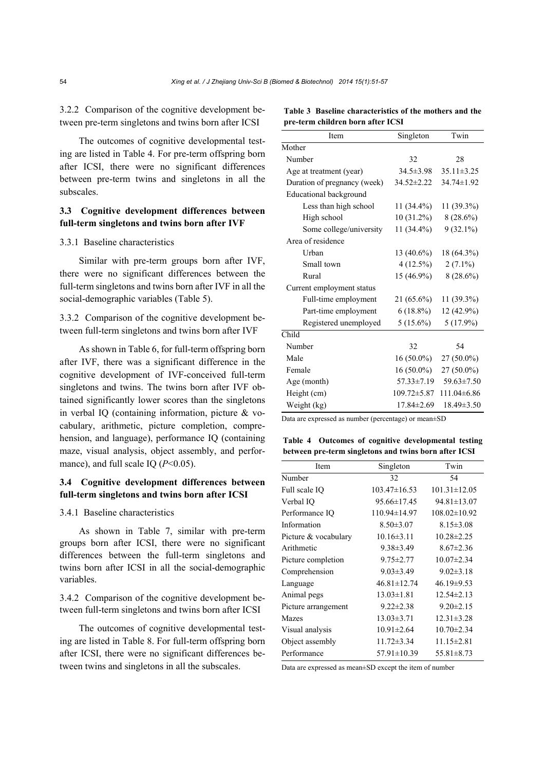3.2.2 Comparison of the cognitive development between pre-term singletons and twins born after ICSI

The outcomes of cognitive developmental testing are listed in Table 4. For pre-term offspring born after ICSI, there were no significant differences between pre-term twins and singletons in all the subscales.

# **3.3 Cognitive development differences between full-term singletons and twins born after IVF**

## 3.3.1 Baseline characteristics

Similar with pre-term groups born after IVF, there were no significant differences between the full-term singletons and twins born after IVF in all the social-demographic variables (Table 5).

3.3.2 Comparison of the cognitive development between full-term singletons and twins born after IVF

As shown in Table 6, for full-term offspring born after IVF, there was a significant difference in the cognitive development of IVF-conceived full-term singletons and twins. The twins born after IVF obtained significantly lower scores than the singletons in verbal IQ (containing information, picture & vocabulary, arithmetic, picture completion, comprehension, and language), performance IQ (containing maze, visual analysis, object assembly, and performance), and full scale IQ ( $P<0.05$ ).

# **3.4 Cognitive development differences between full-term singletons and twins born after ICSI**

#### 3.4.1 Baseline characteristics

As shown in Table 7, similar with pre-term groups born after ICSI, there were no significant differences between the full-term singletons and twins born after ICSI in all the social-demographic variables.

3.4.2 Comparison of the cognitive development between full-term singletons and twins born after ICSI

The outcomes of cognitive developmental testing are listed in Table 8. For full-term offspring born after ICSI, there were no significant differences between twins and singletons in all the subscales.

|  | Table 3 Baseline characteristics of the mothers and the |  |  |
|--|---------------------------------------------------------|--|--|
|  | pre-term children born after ICSI                       |  |  |

| Item                          | Singleton        | Twin             |
|-------------------------------|------------------|------------------|
| Mother                        |                  |                  |
| Number                        | 32               | 28               |
| Age at treatment (year)       | $34.5 \pm 3.98$  | $35.11 \pm 3.25$ |
| Duration of pregnancy (week)  | $34.52 \pm 2.22$ | 34.74±1.92       |
| <b>Educational background</b> |                  |                  |
| Less than high school         | 11 (34.4%)       | 11 (39.3%)       |
| High school                   | 10 (31.2%)       | $8(28.6\%)$      |
| Some college/university       | 11 (34.4%)       | $9(32.1\%)$      |
| Area of residence             |                  |                  |
| Urban                         | $13(40.6\%)$     | 18 (64.3%)       |
| Small town                    | $4(12.5\%)$      | $2(7.1\%)$       |
| Rural                         | 15 (46.9%)       | $8(28.6\%)$      |
| Current employment status     |                  |                  |
| Full-time employment          | $21(65.6\%)$     | 11 (39.3%)       |
| Part-time employment          | $6(18.8\%)$      | 12 (42.9%)       |
| Registered unemployed         | $5(15.6\%)$      | $5(17.9\%)$      |
| Child                         |                  |                  |
| Number                        | 32               | 54               |
| Male                          | $16(50.0\%)$     | 27 (50.0%)       |
| Female                        | $16(50.0\%)$     | 27 (50.0%)       |
| Age (month)                   | $57.33 \pm 7.19$ | $59.63 \pm 7.50$ |
| Height (cm)                   | 109.72±5.87      | 111.04±6.86      |
| Weight (kg)                   | 17.84±2.69       | $18.49 \pm 3.50$ |
|                               |                  |                  |

Data are expressed as number (percentage) or mean±SD

**Table 4 Outcomes of cognitive developmental testing between pre-term singletons and twins born after ICSI** 

| Item                 | Singleton         | Twin               |
|----------------------|-------------------|--------------------|
| Number               | 32                | 54                 |
| Full scale IQ        | 103.47±16.53      | $101.31 \pm 12.05$ |
| Verbal IQ            | $95.66 \pm 17.45$ | $94.81 \pm 13.07$  |
| Performance IQ       | 110.94±14.97      | $108.02 \pm 10.92$ |
| Information          | $8.50 \pm 3.07$   | $8.15 \pm 3.08$    |
| Picture & vocabulary | $10.16 \pm 3.11$  | $10.28 \pm 2.25$   |
| Arithmetic           | $9.38 \pm 3.49$   | $8.67 \pm 2.36$    |
| Picture completion   | $9.75 \pm 2.77$   | $10.07 \pm 2.34$   |
| Comprehension        | $9.03 \pm 3.49$   | $9.02 \pm 3.18$    |
| Language             | $46.81 \pm 12.74$ | $46.19 \pm 9.53$   |
| Animal pegs          | $13.03 \pm 1.81$  | $12.54 \pm 2.13$   |
| Picture arrangement  | $9.22 \pm 2.38$   | $9.20 \pm 2.15$    |
| <b>Mazes</b>         | $13.03 \pm 3.71$  | $12.31 \pm 3.28$   |
| Visual analysis      | $10.91 \pm 2.64$  | $10.70 \pm 2.34$   |
| Object assembly      | $11.72 \pm 3.34$  | $11.15 \pm 2.81$   |
| Performance          | $57.91 \pm 10.39$ | $55.81 \pm 8.73$   |

Data are expressed as mean±SD except the item of number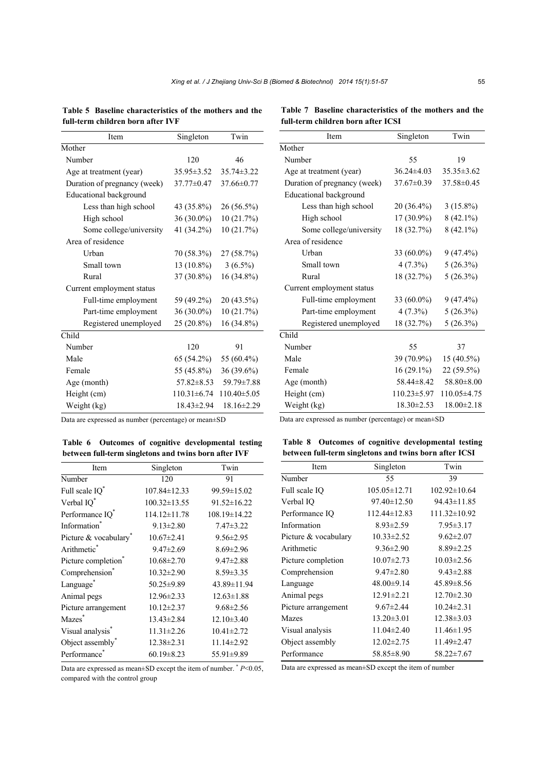| Item                          | Singleton         | Twin              |
|-------------------------------|-------------------|-------------------|
| Mother                        |                   |                   |
| Number                        | 120               | 46                |
| Age at treatment (year)       | $35.95 \pm 3.52$  | $35.74 \pm 3.22$  |
| Duration of pregnancy (week)  | $37.77 \pm 0.47$  | $37.66 \pm 0.77$  |
| <b>Educational background</b> |                   |                   |
| Less than high school         | 43 (35.8%)        | 26 (56.5%)        |
| High school                   | $36(30.0\%)$      | 10 (21.7%)        |
| Some college/university       | 41 (34.2%)        | 10 (21.7%)        |
| Area of residence             |                   |                   |
| Urban                         | 70 (58.3%)        | 27 (58.7%)        |
| Small town                    | $13(10.8\%)$      | $3(6.5\%)$        |
| Rural                         | 37 (30.8%)        | 16 (34.8%)        |
| Current employment status     |                   |                   |
| Full-time employment          | 59 (49.2%)        | 20 (43.5%)        |
| Part-time employment          | $36(30.0\%)$      | 10 (21.7%)        |
| Registered unemployed         | 25 (20.8%)        | 16 (34.8%)        |
| Child                         |                   |                   |
| Number                        | 120               | 91                |
| Male                          | 65 (54.2%)        | 55 (60.4%)        |
| Female                        | 55 (45.8%)        | 36 (39.6%)        |
| Age (month)                   | $57.82 \pm 8.53$  | 59.79 ± 7.88      |
| Height (cm)                   | $110.31 \pm 6.74$ | $110.40 \pm 5.05$ |
| Weight (kg)                   | 18.43±2.94        | 18.16±2.29        |

**Table 5 Baseline characteristics of the mothers and the full-term children born after IVF**

Data are expressed as number (percentage) or mean±SD

**Table 6 Outcomes of cognitive developmental testing between full-term singletons and twins born after IVF** 

| Item                              | Singleton          | Twin              |
|-----------------------------------|--------------------|-------------------|
| Number                            | 120                | 91                |
| Full scale $IQ^*$                 | $107.84 \pm 12.33$ | 99.59±15.02       |
| Verbal IQ*                        | $100.32 \pm 13.55$ | $91.52 \pm 16.22$ |
| Performance IQ*                   | 114.12±11.78       | 108.19±14.22      |
| Information <sup>®</sup>          | $9.13 \pm 2.80$    | $7.47 \pm 3.22$   |
| Picture & vocabulary <sup>®</sup> | $10.67 \pm 2.41$   | $9.56 \pm 2.95$   |
| Arithmetic <sup>®</sup>           | $9.47 \pm 2.69$    | $8.69 \pm 2.96$   |
| Picture completion <sup>®</sup>   | $10.68 \pm 2.70$   | $9.47 \pm 2.88$   |
| Comprehension*                    | $10.32 \pm 2.90$   | $8.59 \pm 3.35$   |
| Language <sup>*</sup>             | 50.25±9.89         | 43.89±11.94       |
| Animal pegs                       | $12.96 \pm 2.33$   | $12.63 \pm 1.88$  |
| Picture arrangement               | $10.12 \pm 2.37$   | $9.68 \pm 2.56$   |
| Mazes <sup>®</sup>                | $13.43 \pm 2.84$   | $12.10 \pm 3.40$  |
| Visual analysis <sup>®</sup>      | $11.31 \pm 2.26$   | $10.41 \pm 2.72$  |
| Object assembly <sup>*</sup>      | $12.38 \pm 2.31$   | $11.14 \pm 2.92$  |
| Performance                       | $60.19 \pm 8.23$   | 55.91±9.89        |

Data are expressed as mean±SD except the item of number. \* *P*<0.05, compared with the control group

**Table 7 Baseline characteristics of the mothers and the full-term children born after ICSI**

| Item                          | Singleton         | Twin             |
|-------------------------------|-------------------|------------------|
| Mother                        |                   |                  |
| Number                        | 55                | 19               |
| Age at treatment (year)       | $36.24 \pm 4.03$  | $35.35 \pm 3.62$ |
| Duration of pregnancy (week)  | $37.67 \pm 0.39$  | 37.58±0.45       |
| <b>Educational background</b> |                   |                  |
| Less than high school         | 20 (36.4%)        | $3(15.8\%)$      |
| High school                   | $17(30.9\%)$      | $8(42.1\%)$      |
| Some college/university       | 18 (32.7%)        | $8(42.1\%)$      |
| Area of residence             |                   |                  |
| Urban                         | $33(60.0\%)$      | $9(47.4\%)$      |
| Small town                    | $4(7.3\%)$        | $5(26.3\%)$      |
| Rural                         | 18 (32.7%)        | 5(26.3%)         |
| Current employment status     |                   |                  |
| Full-time employment          | $33(60.0\%)$      | $9(47.4\%)$      |
| Part-time employment          | $4(7.3\%)$        | $5(26.3\%)$      |
| Registered unemployed         | 18 (32.7%)        | $5(26.3\%)$      |
| Child                         |                   |                  |
| Number                        | 55                | 37               |
| Male                          | 39 (70.9%)        | $15(40.5\%)$     |
| Female                        | $16(29.1\%)$      | 22 (59.5%)       |
| Age (month)                   | 58.44±8.42        | $58.80 \pm 8.00$ |
| Height (cm)                   | $110.23 \pm 5.97$ | 110.05±4.75      |
| Weight (kg)                   | $18.30 \pm 2.53$  | $18.00 \pm 2.18$ |

Data are expressed as number (percentage) or mean±SD

**Table 8 Outcomes of cognitive developmental testing between full-term singletons and twins born after ICSI** 

| Item                 | Singleton          | Twin               |
|----------------------|--------------------|--------------------|
| Number               | 55                 | 39                 |
| Full scale IQ        | $105.05 \pm 12.71$ | $102.92 \pm 10.64$ |
| Verbal IQ            | $97.40 \pm 12.50$  | 94.43±11.85        |
| Performance IQ       | $112.44 \pm 12.83$ | 111.32±10.92       |
| Information          | $8.93 \pm 2.59$    | $7.95 \pm 3.17$    |
| Picture & vocabulary | $10.33 \pm 2.52$   | $9.62 \pm 2.07$    |
| Arithmetic           | $9.36 \pm 2.90$    | $8.89 \pm 2.25$    |
| Picture completion   | $10.07 \pm 2.73$   | $10.03 \pm 2.56$   |
| Comprehension        | $9.47 \pm 2.80$    | $9.43 \pm 2.88$    |
| Language             | 48.00±9.14         | $45.89 \pm 8.56$   |
| Animal pegs          | $12.91 \pm 2.21$   | $12.70 \pm 2.30$   |
| Picture arrangement  | $9.67 \pm 2.44$    | $10.24 \pm 2.31$   |
| Mazes                | $13.20 \pm 3.01$   | $12.38 \pm 3.03$   |
| Visual analysis      | $11.04 \pm 2.40$   | $11.46 \pm 1.95$   |
| Object assembly      | $12.02 \pm 2.75$   | 11.49±2.47         |
| Performance          | 58.85 ± 8.90       | $58.22 \pm 7.67$   |

Data are expressed as mean±SD except the item of number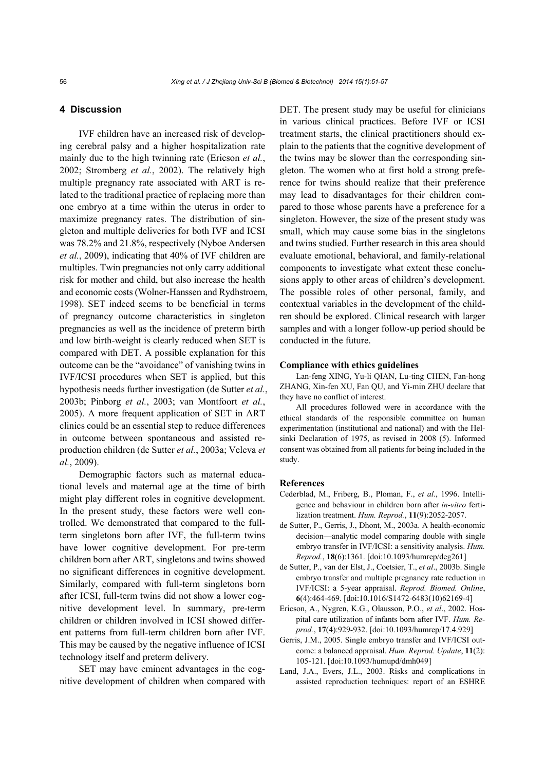## **4 Discussion**

IVF children have an increased risk of developing cerebral palsy and a higher hospitalization rate mainly due to the high twinning rate (Ericson *et al.*, 2002; Stromberg *et al.*, 2002). The relatively high multiple pregnancy rate associated with ART is related to the traditional practice of replacing more than one embryo at a time within the uterus in order to maximize pregnancy rates. The distribution of singleton and multiple deliveries for both IVF and ICSI was 78.2% and 21.8%, respectively (Nyboe Andersen *et al.*, 2009), indicating that 40% of IVF children are multiples. Twin pregnancies not only carry additional risk for mother and child, but also increase the health and economic costs (Wolner-Hanssen and Rydhstroem, 1998). SET indeed seems to be beneficial in terms of pregnancy outcome characteristics in singleton pregnancies as well as the incidence of preterm birth and low birth-weight is clearly reduced when SET is compared with DET. A possible explanation for this outcome can be the "avoidance" of vanishing twins in IVF/ICSI procedures when SET is applied, but this hypothesis needs further investigation (de Sutter *et al.*, 2003b; Pinborg *et al.*, 2003; van Montfoort *et al.*, 2005). A more frequent application of SET in ART clinics could be an essential step to reduce differences in outcome between spontaneous and assisted reproduction children (de Sutter *et al.*, 2003a; Veleva *et al.*, 2009).

Demographic factors such as maternal educational levels and maternal age at the time of birth might play different roles in cognitive development. In the present study, these factors were well controlled. We demonstrated that compared to the fullterm singletons born after IVF, the full-term twins have lower cognitive development. For pre-term children born after ART, singletons and twins showed no significant differences in cognitive development. Similarly, compared with full-term singletons born after ICSI, full-term twins did not show a lower cognitive development level. In summary, pre-term children or children involved in ICSI showed different patterns from full-term children born after IVF. This may be caused by the negative influence of ICSI technology itself and preterm delivery.

SET may have eminent advantages in the cognitive development of children when compared with DET. The present study may be useful for clinicians in various clinical practices. Before IVF or ICSI treatment starts, the clinical practitioners should explain to the patients that the cognitive development of the twins may be slower than the corresponding singleton. The women who at first hold a strong preference for twins should realize that their preference may lead to disadvantages for their children compared to those whose parents have a preference for a singleton. However, the size of the present study was small, which may cause some bias in the singletons and twins studied. Further research in this area should evaluate emotional, behavioral, and family-relational components to investigate what extent these conclusions apply to other areas of children's development. The possible roles of other personal, family, and contextual variables in the development of the children should be explored. Clinical research with larger samples and with a longer follow-up period should be conducted in the future.

#### **Compliance with ethics guidelines**

Lan-feng XING, Yu-li QIAN, Lu-ting CHEN, Fan-hong ZHANG, Xin-fen XU, Fan QU, and Yi-min ZHU declare that they have no conflict of interest.

All procedures followed were in accordance with the ethical standards of the responsible committee on human experimentation (institutional and national) and with the Helsinki Declaration of 1975, as revised in 2008 (5). Informed consent was obtained from all patients for being included in the study.

#### **References**

- Cederblad, M., Friberg, B., Ploman, F., *et al*., 1996. Intelligence and behaviour in children born after *in-vitro* fertilization treatment. *Hum. Reprod.*, **11**(9):2052-2057.
- de Sutter, P., Gerris, J., Dhont, M., 2003a. A health-economic decision—analytic model comparing double with single embryo transfer in IVF/ICSI: a sensitivity analysis. *Hum. Reprod.*, **18**(6):1361. [doi:10.1093/humrep/deg261]
- de Sutter, P., van der Elst, J., Coetsier, T., *et al*., 2003b. Single embryo transfer and multiple pregnancy rate reduction in IVF/ICSI: a 5-year appraisal. *Reprod. Biomed. Online*, **6**(4):464-469. [doi:10.1016/S1472-6483(10)62169-4]
- Ericson, A., Nygren, K.G., Olausson, P.O., *et al*., 2002. Hospital care utilization of infants born after IVF. *Hum. Reprod.*, **17**(4):929-932. [doi:10.1093/humrep/17.4.929]
- Gerris, J.M., 2005. Single embryo transfer and IVF/ICSI outcome: a balanced appraisal. *Hum. Reprod. Update*, **11**(2): 105-121. [doi:10.1093/humupd/dmh049]
- Land, J.A., Evers, J.L., 2003. Risks and complications in assisted reproduction techniques: report of an ESHRE